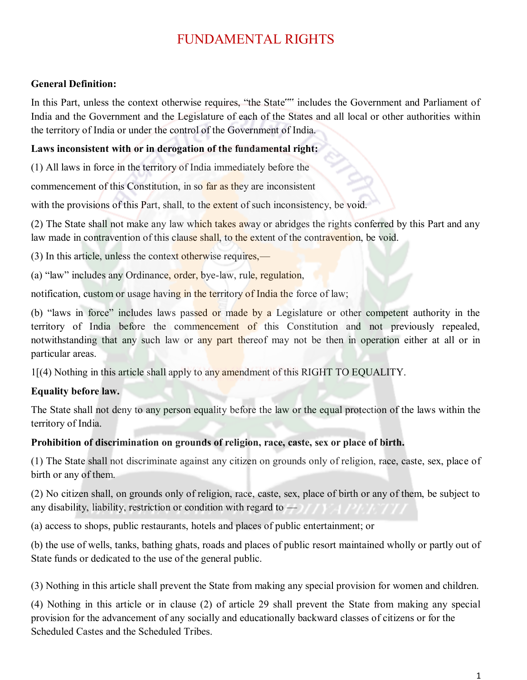## FUNDAMENTAL RIGHTS

#### **General Definition:**

In this Part, unless the context otherwise requires, "the State"" includes the Government and Parliament of India and the Government and the Legislature of each of the States and all local or other authorities within the territory of India or under the control of the Government of India.

#### **Laws inconsistent with or in derogation of the fundamental right:**

(1) All laws in force in the territory of India immediately before the

commencement of this Constitution, in so far as they are inconsistent

with the provisions of this Part, shall, to the extent of such inconsistency, be void.

(2) The State shall not make any law which takes away or abridges the rights conferred by this Part and any law made in contravention of this clause shall, to the extent of the contravention, be void.

(3) In this article, unless the context otherwise requires,—

(a) "law" includes any Ordinance, order, bye-law, rule, regulation,

notification, custom or usage having in the territory of India the force of law;

(b) "laws in force" includes laws passed or made by a Legislature or other competent authority in the territory of India before the commencement of this Constitution and not previously repealed, notwithstanding that any such law or any part thereof may not be then in operation either at all or in particular areas.

1[(4) Nothing in this article shall apply to any amendment of this RIGHT TO EQUALITY.

## **Equality before law.**

The State shall not deny to any person equality before the law or the equal protection of the laws within the territory of India.

## **Prohibition of discrimination on grounds of religion, race, caste, sex or place of birth.**

(1) The State shall not discriminate against any citizen on grounds only of religion, race, caste, sex, place of birth or any of them.

(2) No citizen shall, on grounds only of religion, race, caste, sex, place of birth or any of them, be subject to any disability, liability, restriction or condition with regard to  $\overline{\phantom{a}}$ 

(a) access to shops, public restaurants, hotels and places of public entertainment; or

(b) the use of wells, tanks, bathing ghats, roads and places of public resort maintained wholly or partly out of State funds or dedicated to the use of the general public.

(3) Nothing in this article shall prevent the State from making any special provision for women and children.

(4) Nothing in this article or in clause (2) of article 29 shall prevent the State from making any special provision for the advancement of any socially and educationally backward classes of citizens or for the Scheduled Castes and the Scheduled Tribes.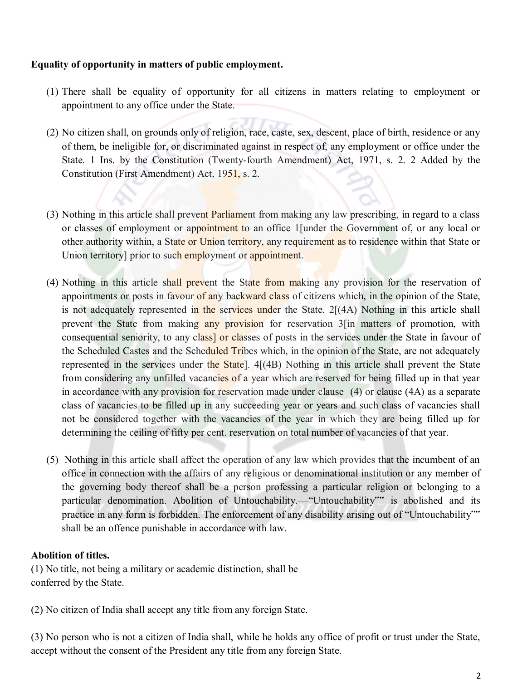#### **Equality of opportunity in matters of public employment.**

- (1) There shall be equality of opportunity for all citizens in matters relating to employment or appointment to any office under the State.
- (2) No citizen shall, on grounds only of religion, race, caste, sex, descent, place of birth, residence or any of them, be ineligible for, or discriminated against in respect of, any employment or office under the State. 1 Ins. by the Constitution (Twenty-fourth Amendment) Act, 1971, s. 2. 2 Added by the Constitution (First Amendment) Act, 1951, s. 2.
- (3) Nothing in this article shall prevent Parliament from making any law prescribing, in regard to a class or classes of employment or appointment to an office 1[under the Government of, or any local or other authority within, a State or Union territory, any requirement as to residence within that State or Union territory] prior to such employment or appointment.
- (4) Nothing in this article shall prevent the State from making any provision for the reservation of appointments or posts in favour of any backward class of citizens which, in the opinion of the State, is not adequately represented in the services under the State.  $2[(4A)$  Nothing in this article shall prevent the State from making any provision for reservation 3[in matters of promotion, with consequential seniority, to any class or classes of posts in the services under the State in favour of the Scheduled Castes and the Scheduled Tribes which, in the opinion of the State, are not adequately represented in the services under the State]. 4[(4B) Nothing in this article shall prevent the State from considering any unfilled vacancies of a year which are reserved for being filled up in that year in accordance with any provision for reservation made under clause (4) or clause (4A) as a separate class of vacancies to be filled up in any succeeding year or years and such class of vacancies shall not be considered together with the vacancies of the year in which they are being filled up for determining the ceiling of fifty per cent. reservation on total number of vacancies of that year.
- (5) Nothing in this article shall affect the operation of any law which provides that the incumbent of an office in connection with the affairs of any religious or denominational institution or any member of the governing body thereof shall be a person professing a particular religion or belonging to a particular denomination. Abolition of Untouchability.—"Untouchability"" is abolished and its practice in any form is forbidden. The enforcement of any disability arising out of "Untouchability"" shall be an offence punishable in accordance with law.

#### **Abolition of titles.**

(1) No title, not being a military or academic distinction, shall be conferred by the State.

(2) No citizen of India shall accept any title from any foreign State.

(3) No person who is not a citizen of India shall, while he holds any office of profit or trust under the State, accept without the consent of the President any title from any foreign State.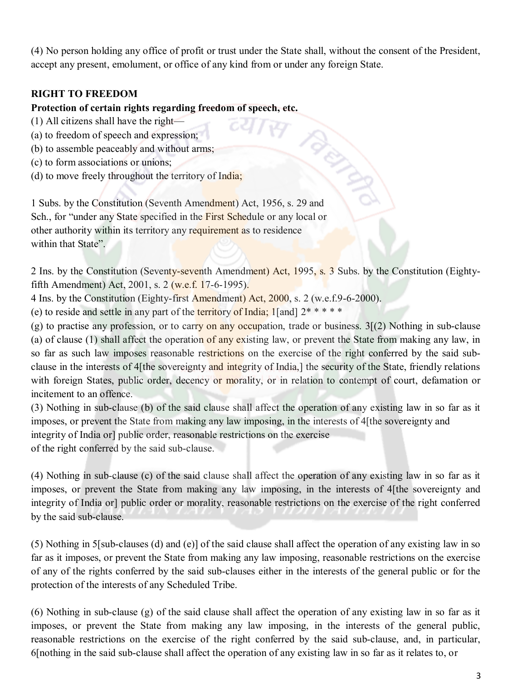(4) No person holding any office of profit or trust under the State shall, without the consent of the President, accept any present, emolument, or office of any kind from or under any foreign State.

## **RIGHT TO FREEDOM**

#### **Protection of certain rights regarding freedom of speech, etc.**

- (1) All citizens shall have the right—
- (a) to freedom of speech and expression;
- (b) to assemble peaceably and without arms;
- (c) to form associations or unions;
- (d) to move freely throughout the territory of India;

REACTOR 1 Subs. by the Constitution (Seventh Amendment) Act, 1956, s. 29 and Sch., for "under any State specified in the First Schedule or any local or other authority within its territory any requirement as to residence within that State".

2 Ins. by the Constitution (Seventy-seventh Amendment) Act, 1995, s. 3 Subs. by the Constitution (Eightyfifth Amendment) Act, 2001, s. 2 (w.e.f. 17-6-1995).

4 Ins. by the Constitution (Eighty-first Amendment) Act, 2000, s. 2 (w.e.f.9-6-2000).

(e) to reside and settle in any part of the territory of India;  $1$ [and]  $2$ <sup>\*</sup> \* \* \*

(g) to practise any profession, or to carry on any occupation, trade or business.  $3(2)$  Nothing in sub-clause (a) of clause (1) shall affect the operation of any existing law, or prevent the State from making any law, in so far as such law imposes reasonable restrictions on the exercise of the right conferred by the said subclause in the interests of 4[the sovereignty and integrity of India,] the security of the State, friendly relations with foreign States, public order, decency or morality, or in relation to contempt of court, defamation or incitement to an offence.

(3) Nothing in sub-clause (b) of the said clause shall affect the operation of any existing law in so far as it imposes, or prevent the State from making any law imposing, in the interests of 4[the sovereignty and integrity of India or] public order, reasonable restrictions on the exercise

of the right conferred by the said sub-clause.

(4) Nothing in sub-clause (c) of the said clause shall affect the operation of any existing law in so far as it imposes, or prevent the State from making any law imposing, in the interests of 4[the sovereignty and integrity of India or] public order or morality, reasonable restrictions on the exercise of the right conferred by the said sub-clause.

(5) Nothing in 5[sub-clauses (d) and (e)] of the said clause shall affect the operation of any existing law in so far as it imposes, or prevent the State from making any law imposing, reasonable restrictions on the exercise of any of the rights conferred by the said sub-clauses either in the interests of the general public or for the protection of the interests of any Scheduled Tribe.

(6) Nothing in sub-clause (g) of the said clause shall affect the operation of any existing law in so far as it imposes, or prevent the State from making any law imposing, in the interests of the general public, reasonable restrictions on the exercise of the right conferred by the said sub-clause, and, in particular, 6[nothing in the said sub-clause shall affect the operation of any existing law in so far as it relates to, or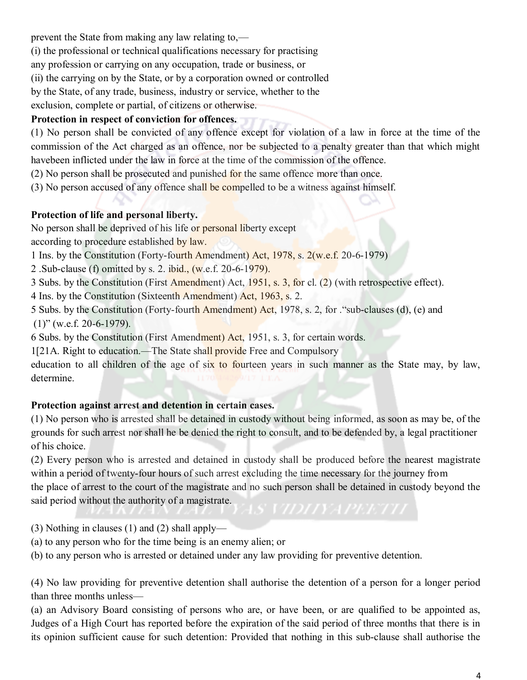prevent the State from making any law relating to,—

(i) the professional or technical qualifications necessary for practising

any profession or carrying on any occupation, trade or business, or

(ii) the carrying on by the State, or by a corporation owned or controlled

by the State, of any trade, business, industry or service, whether to the

exclusion, complete or partial, of citizens or otherwise.

## **Protection in respect of conviction for offences.**

(1) No person shall be convicted of any offence except for violation of a law in force at the time of the commission of the Act charged as an offence, nor be subjected to a penalty greater than that which might havebeen inflicted under the law in force at the time of the commission of the offence.

(2) No person shall be prosecuted and punished for the same offence more than once.

(3) No person accused of any offence shall be compelled to be a witness against himself.

## **Protection of life and personal liberty.**

No person shall be deprived of his life or personal liberty except

according to procedure established by law.

1 Ins. by the Constitution (Forty-fourth Amendment) Act, 1978, s. 2(w.e.f. 20-6-1979)

2 .Sub-clause (f) omitted by s. 2. ibid., (w.e.f. 20-6-1979).

3 Subs. by the Constitution (First Amendment) Act, 1951, s. 3, for cl. (2) (with retrospective effect).

4 Ins. by the Constitution (Sixteenth Amendment) Act, 1963, s. 2.

5 Subs. by the Constitution (Forty-fourth Amendment) Act, 1978, s. 2, for ."sub-clauses (d), (e) and  $(1)$ " (w.e.f. 20-6-1979).

6 Subs. by the Constitution (First Amendment) Act, 1951, s. 3, for certain words.

1[21A. Right to education.—The State shall provide Free and Compulsory

education to all children of the age of six to fourteen years in such manner as the State may, by law, determine.

## **Protection against arrest and detention in certain cases.**

(1) No person who is arrested shall be detained in custody without being informed, as soon as may be, of the grounds for such arrest nor shall he be denied the right to consult, and to be defended by, a legal practitioner of his choice.

(2) Every person who is arrested and detained in custody shall be produced before the nearest magistrate within a period of twenty-four hours of such arrest excluding the time necessary for the journey from the place of arrest to the court of the magistrate and no such person shall be detained in custody beyond the said period without the authority of a magistrate.

(3) Nothing in clauses (1) and (2) shall apply—

(a) to any person who for the time being is an enemy alien; or

(b) to any person who is arrested or detained under any law providing for preventive detention.

(4) No law providing for preventive detention shall authorise the detention of a person for a longer period than three months unless—

(a) an Advisory Board consisting of persons who are, or have been, or are qualified to be appointed as, Judges of a High Court has reported before the expiration of the said period of three months that there is in its opinion sufficient cause for such detention: Provided that nothing in this sub-clause shall authorise the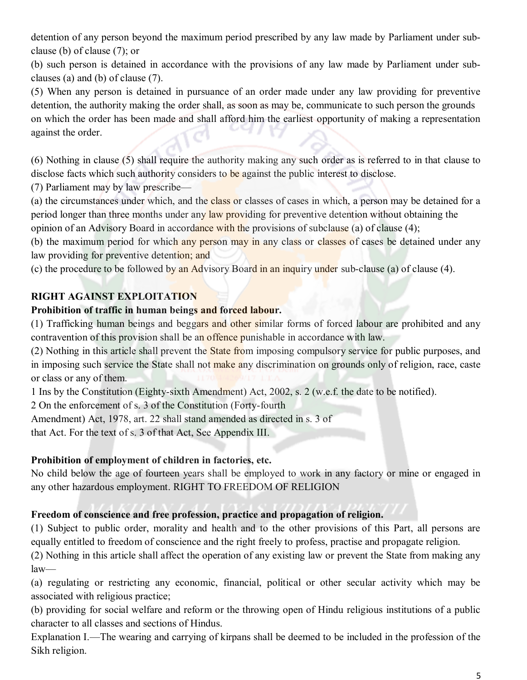detention of any person beyond the maximum period prescribed by any law made by Parliament under subclause (b) of clause (7); or

(b) such person is detained in accordance with the provisions of any law made by Parliament under subclauses (a) and (b) of clause (7).

(5) When any person is detained in pursuance of an order made under any law providing for preventive detention, the authority making the order shall, as soon as may be, communicate to such person the grounds on which the order has been made and shall afford him the earliest opportunity of making a representation against the order.

(6) Nothing in clause (5) shall require the authority making any such order as is referred to in that clause to disclose facts which such authority considers to be against the public interest to disclose.

(7) Parliament may by law prescribe—

(a) the circumstances under which, and the class or classes of cases in which, a person may be detained for a period longer than three months under any law providing for preventive detention without obtaining the opinion of an Advisory Board in accordance with the provisions of subclause (a) of clause (4);

(b) the maximum period for which any person may in any class or classes of cases be detained under any law providing for preventive detention; and

(c) the procedure to be followed by an Advisory Board in an inquiry under sub-clause (a) of clause (4).

## **RIGHT AGAINST EXPLOITATION**

## **Prohibition of traffic in human beings and forced labour.**

(1) Trafficking human beings and beggars and other similar forms of forced labour are prohibited and any contravention of this provision shall be an offence punishable in accordance with law.

(2) Nothing in this article shall prevent the State from imposing compulsory service for public purposes, and in imposing such service the State shall not make any discrimination on grounds only of religion, race, caste or class or any of them.

1 Ins by the Constitution (Eighty-sixth Amendment) Act, 2002, s. 2 (w.e.f. the date to be notified).

2 On the enforcement of s. 3 of the Constitution (Forty-fourth

Amendment) Act, 1978, art. 22 shall stand amended as directed in s. 3 of

that Act. For the text of s. 3 of that Act, See Appendix III.

## **Prohibition of employment of children in factories, etc.**

No child below the age of fourteen years shall be employed to work in any factory or mine or engaged in any other hazardous employment. RIGHT TO FREEDOM OF RELIGION

## **Freedom of conscience and free profession, practice and propagation of religion.**

(1) Subject to public order, morality and health and to the other provisions of this Part, all persons are equally entitled to freedom of conscience and the right freely to profess, practise and propagate religion.

(2) Nothing in this article shall affect the operation of any existing law or prevent the State from making any law—

(a) regulating or restricting any economic, financial, political or other secular activity which may be associated with religious practice;

(b) providing for social welfare and reform or the throwing open of Hindu religious institutions of a public character to all classes and sections of Hindus.

Explanation I.—The wearing and carrying of kirpans shall be deemed to be included in the profession of the Sikh religion.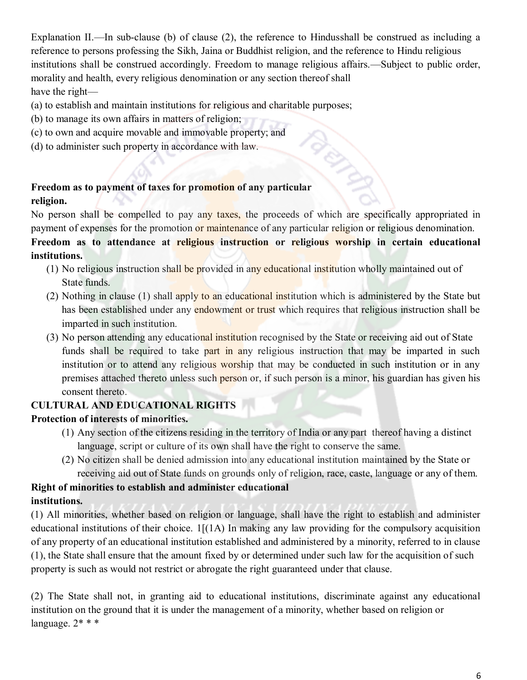Explanation II.—In sub-clause (b) of clause (2), the reference to Hindusshall be construed as including a reference to persons professing the Sikh, Jaina or Buddhist religion, and the reference to Hindu religious institutions shall be construed accordingly. Freedom to manage religious affairs.—Subject to public order, morality and health, every religious denomination or any section thereof shall have the right—

(a) to establish and maintain institutions for religious and charitable purposes;

- (b) to manage its own affairs in matters of religion;
- (c) to own and acquire movable and immovable property; and
- (d) to administer such property in accordance with law.

# **Freedom as to payment of taxes for promotion of any particular religion.**

No person shall be compelled to pay any taxes, the proceeds of which are specifically appropriated in payment of expenses for the promotion or maintenance of any particular religion or religious denomination.

**Freedom as to attendance at religious instruction or religious worship in certain educational institutions.** 

- (1) No religious instruction shall be provided in any educational institution wholly maintained out of State funds.
- (2) Nothing in clause (1) shall apply to an educational institution which is administered by the State but has been established under any endowment or trust which requires that religious instruction shall be imparted in such institution.
- (3) No person attending any educational institution recognised by the State or receiving aid out of State funds shall be required to take part in any religious instruction that may be imparted in such institution or to attend any religious worship that may be conducted in such institution or in any premises attached thereto unless such person or, if such person is a minor, his guardian has given his consent thereto.

## **CULTURAL AND EDUCATIONAL RIGHTS**

## **Protection of interests of minorities.**

- (1) Any section of the citizens residing in the territory of India or any part thereof having a distinct language, script or culture of its own shall have the right to conserve the same.
- (2) No citizen shall be denied admission into any educational institution maintained by the State or receiving aid out of State funds on grounds only of religion, race, caste, language or any of them.

## **Right of minorities to establish and administer educational institutions.**

(1) All minorities, whether based on religion or language, shall have the right to establish and administer educational institutions of their choice. 1[(1A) In making any law providing for the compulsory acquisition of any property of an educational institution established and administered by a minority, referred to in clause (1), the State shall ensure that the amount fixed by or determined under such law for the acquisition of such property is such as would not restrict or abrogate the right guaranteed under that clause.

(2) The State shall not, in granting aid to educational institutions, discriminate against any educational institution on the ground that it is under the management of a minority, whether based on religion or language. 2\* \* \*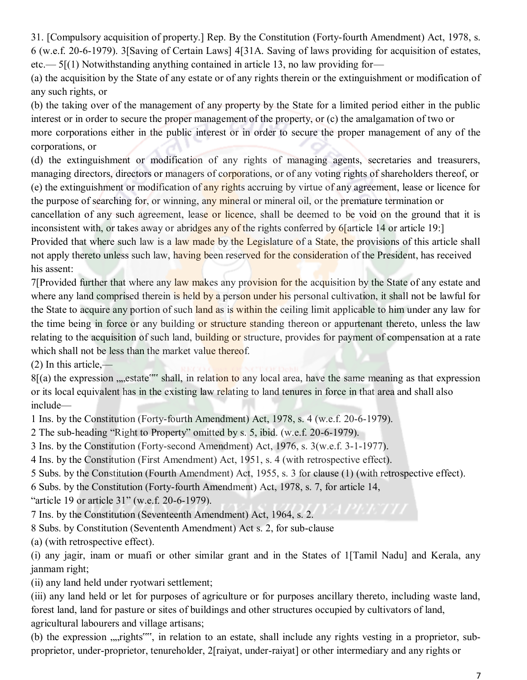31. [Compulsory acquisition of property.] Rep. By the Constitution (Forty-fourth Amendment) Act, 1978, s. 6 (w.e.f. 20-6-1979). 3[Saving of Certain Laws] 4[31A. Saving of laws providing for acquisition of estates, etc.— 5[(1) Notwithstanding anything contained in article 13, no law providing for—

(a) the acquisition by the State of any estate or of any rights therein or the extinguishment or modification of any such rights, or

(b) the taking over of the management of any property by the State for a limited period either in the public interest or in order to secure the proper management of the property, or (c) the amalgamation of two or more corporations either in the public interest or in order to secure the proper management of any of the corporations, or

(d) the extinguishment or modification of any rights of managing agents, secretaries and treasurers, managing directors, directors or managers of corporations, or of any voting rights of shareholders thereof, or (e) the extinguishment or modification of any rights accruing by virtue of any agreement, lease or licence for the purpose of searching for, or winning, any mineral or mineral oil, or the premature termination or cancellation of any such agreement, lease or licence, shall be deemed to be void on the ground that it is inconsistent with, or takes away or abridges any of the rights conferred by 6 article 14 or article 19: Provided that where such law is a law made by the Legislature of a State, the provisions of this article shall not apply thereto unless such law, having been reserved for the consideration of the President, has received his assent:

7<sup>[Provided</sup> further that where any law makes any provision for the acquisition by the State of any estate and where any land comprised therein is held by a person under his personal cultivation, it shall not be lawful for the State to acquire any portion of such land as is within the ceiling limit applicable to him under any law for the time being in force or any building or structure standing thereon or appurtenant thereto, unless the law relating to the acquisition of such land, building or structure, provides for payment of compensation at a rate which shall not be less than the market value thereof.

 $(2)$  In this article,—

 $8(2)$  the expression  $\ldots$  estate. Shall, in relation to any local area, have the same meaning as that expression or its local equivalent has in the existing law relating to land tenures in force in that area and shall also include—

1 Ins. by the Constitution (Forty-fourth Amendment) Act, 1978, s. 4 (w.e.f. 20-6-1979).

2 The sub-heading "Right to Property" omitted by s. 5, ibid. (w.e.f. 20-6-1979).

3 Ins. by the Constitution (Forty-second Amendment) Act, 1976, s. 3(w.e.f. 3-1-1977).

4 Ins. by the Constitution (First Amendment) Act, 1951, s. 4 (with retrospective effect).

5 Subs. by the Constitution (Fourth Amendment) Act, 1955, s. 3 for clause (1) (with retrospective effect).

6 Subs. by the Constitution (Forty-fourth Amendment) Act, 1978, s. 7, for article 14,

"article 19 or article 31" (w.e.f. 20-6-1979).

7 Ins. by the Constitution (Seventeenth Amendment) Act, 1964, s. 2.

8 Subs. by Constitution (Sevententh Amendment) Act s. 2, for sub-clause

(a) (with retrospective effect).

(i) any jagir, inam or muafi or other similar grant and in the States of 1[Tamil Nadu] and Kerala, any janmam right;

(ii) any land held under ryotwari settlement;

(iii) any land held or let for purposes of agriculture or for purposes ancillary thereto, including waste land, forest land, land for pasture or sites of buildings and other structures occupied by cultivators of land, agricultural labourers and village artisans;

(b) the expression ""rights"", in relation to an estate, shall include any rights vesting in a proprietor, subproprietor, under-proprietor, tenureholder, 2[raiyat, under-raiyat] or other intermediary and any rights or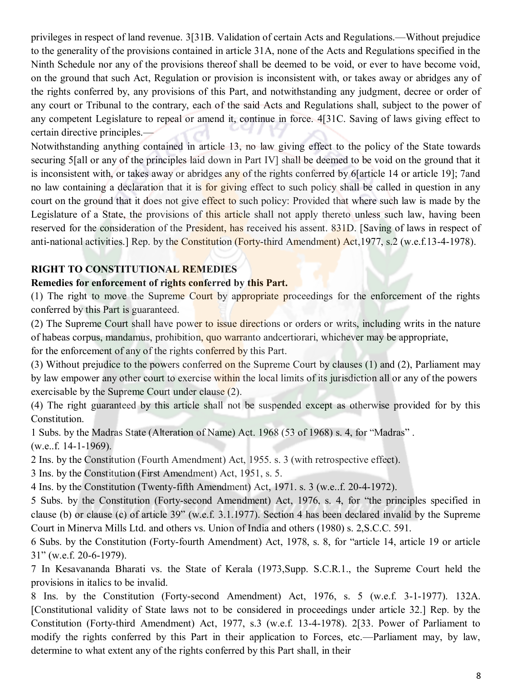privileges in respect of land revenue. 3[31B. Validation of certain Acts and Regulations.—Without prejudice to the generality of the provisions contained in article 31A, none of the Acts and Regulations specified in the Ninth Schedule nor any of the provisions thereof shall be deemed to be void, or ever to have become void, on the ground that such Act, Regulation or provision is inconsistent with, or takes away or abridges any of the rights conferred by, any provisions of this Part, and notwithstanding any judgment, decree or order of any court or Tribunal to the contrary, each of the said Acts and Regulations shall, subject to the power of any competent Legislature to repeal or amend it, continue in force. 4[31C. Saving of laws giving effect to certain directive principles.—

Notwithstanding anything contained in article 13, no law giving effect to the policy of the State towards securing 5[all or any of the principles laid down in Part IV] shall be deemed to be void on the ground that it is inconsistent with, or takes away or abridges any of the rights conferred by 6[article 14 or article 19]; 7and no law containing a declaration that it is for giving effect to such policy shall be called in question in any court on the ground that it does not give effect to such policy: Provided that where such law is made by the Legislature of a State, the provisions of this article shall not apply thereto unless such law, having been reserved for the consideration of the President, has received his assent. 831D. [Saving of laws in respect of anti-national activities.] Rep. by the Constitution (Forty-third Amendment) Act,1977, s.2 (w.e.f.13-4-1978).

#### **RIGHT TO CONSTITUTIONAL REMEDIES**

#### **Remedies for enforcement of rights conferred by this Part.**

(1) The right to move the Supreme Court by appropriate proceedings for the enforcement of the rights conferred by this Part is guaranteed.

(2) The Supreme Court shall have power to issue directions or orders or writs, including writs in the nature of habeas corpus, mandamus, prohibition, quo warranto andcertiorari, whichever may be appropriate,

for the enforcement of any of the rights conferred by this Part.

(3) Without prejudice to the powers conferred on the Supreme Court by clauses (1) and (2), Parliament may by law empower any other court to exercise within the local limits of its jurisdiction all or any of the powers exercisable by the Supreme Court under clause (2).

(4) The right guaranteed by this article shall not be suspended except as otherwise provided for by this Constitution.

1 Subs. by the Madras State (Alteration of Name) Act. 1968 (53 of 1968) s. 4, for "Madras" . (w.e..f. 14-1-1969).

2 Ins. by the Constitution (Fourth Amendment) Act, 1955. s. 3 (with retrospective effect).

3 Ins. by the Constitution (First Amendment) Act, 1951, s. 5.

4 Ins. by the Constitution (Twenty-fifth Amendment) Act, 1971. s. 3 (w.e..f. 20-4-1972).

5 Subs. by the Constitution (Forty-second Amendment) Act, 1976, s. 4, for "the principles specified in clause (b) or clause (c) of article 39" (w.e.f. 3.1.1977). Section 4 has been declared invalid by the Supreme Court in Minerva Mills Ltd. and others vs. Union of India and others (1980) s. 2,S.C.C. 591.

6 Subs. by the Constitution (Forty-fourth Amendment) Act, 1978, s. 8, for "article 14, article 19 or article 31" (w.e.f. 20-6-1979).

7 In Kesavananda Bharati vs. the State of Kerala (1973,Supp. S.C.R.1., the Supreme Court held the provisions in italics to be invalid.

8 Ins. by the Constitution (Forty-second Amendment) Act, 1976, s. 5 (w.e.f. 3-1-1977). 132A. [Constitutional validity of State laws not to be considered in proceedings under article 32.] Rep. by the Constitution (Forty-third Amendment) Act, 1977, s.3 (w.e.f. 13-4-1978). 2[33. Power of Parliament to modify the rights conferred by this Part in their application to Forces, etc.—Parliament may, by law, determine to what extent any of the rights conferred by this Part shall, in their